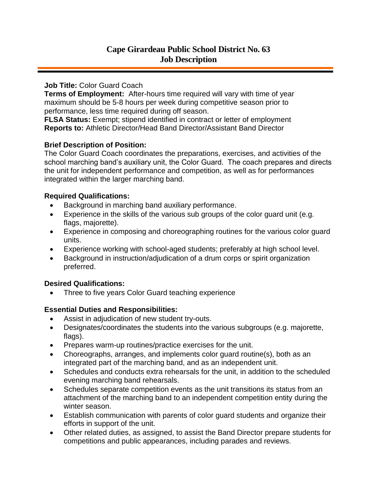#### **Job Title:** Color Guard Coach

**Terms of Employment:** After-hours time required will vary with time of year maximum should be 5-8 hours per week during competitive season prior to performance, less time required during off season.

**FLSA Status:** Exempt; stipend identified in contract or letter of employment **Reports to:** Athletic Director/Head Band Director/Assistant Band Director

# **Brief Description of Position:**

The Color Guard Coach coordinates the preparations, exercises, and activities of the school marching band's auxiliary unit, the Color Guard. The coach prepares and directs the unit for independent performance and competition, as well as for performances integrated within the larger marching band.

# **Required Qualifications:**

- Background in marching band auxiliary performance.
- Experience in the skills of the various sub groups of the color guard unit (e.g. flags, majorette).
- Experience in composing and choreographing routines for the various color guard units.
- Experience working with school-aged students; preferably at high school level.
- Background in instruction/adjudication of a drum corps or spirit organization preferred.

### **Desired Qualifications:**

• Three to five years Color Guard teaching experience

# **Essential Duties and Responsibilities:**

- Assist in adjudication of new student try-outs.
- Designates/coordinates the students into the various subgroups (e.g. majorette, flags).
- Prepares warm-up routines/practice exercises for the unit.
- Choreographs, arranges, and implements color guard routine(s), both as an integrated part of the marching band, and as an independent unit.
- Schedules and conducts extra rehearsals for the unit, in addition to the scheduled evening marching band rehearsals.
- Schedules separate competition events as the unit transitions its status from an attachment of the marching band to an independent competition entity during the winter season.
- Establish communication with parents of color guard students and organize their efforts in support of the unit.
- Other related duties, as assigned, to assist the Band Director prepare students for competitions and public appearances, including parades and reviews.